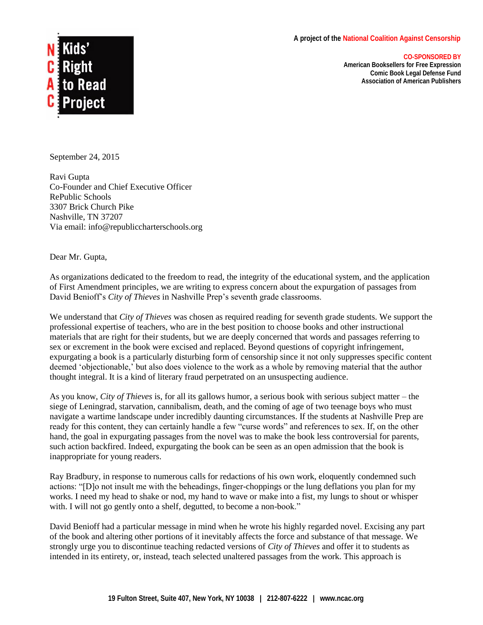## **A project of the National Coalition Against Censorship**



**American Booksellers for Free Expression Comic Book Legal Defense Fund Association of American Publishers**



September 24, 2015

Ravi Gupta Co-Founder and Chief Executive Officer RePublic Schools 3307 Brick Church Pike Nashville, TN 37207 Via email: info@republiccharterschools.org

Dear Mr. Gupta,

As organizations dedicated to the freedom to read, the integrity of the educational system, and the application of First Amendment principles, we are writing to express concern about the expurgation of passages from David Benioff's *City of Thieves* in Nashville Prep's seventh grade classrooms.

We understand that *City of Thieves* was chosen as required reading for seventh grade students. We support the professional expertise of teachers, who are in the best position to choose books and other instructional materials that are right for their students, but we are deeply concerned that words and passages referring to sex or excrement in the book were excised and replaced. Beyond questions of copyright infringement, expurgating a book is a particularly disturbing form of censorship since it not only suppresses specific content deemed 'objectionable,' but also does violence to the work as a whole by removing material that the author thought integral. It is a kind of literary fraud perpetrated on an unsuspecting audience.

As you know, *City of Thieves* is, for all its gallows humor, a serious book with serious subject matter – the siege of Leningrad, starvation, cannibalism, death, and the coming of age of two teenage boys who must navigate a wartime landscape under incredibly daunting circumstances. If the students at Nashville Prep are ready for this content, they can certainly handle a few "curse words" and references to sex. If, on the other hand, the goal in expurgating passages from the novel was to make the book less controversial for parents, such action backfired. Indeed, expurgating the book can be seen as an open admission that the book is inappropriate for young readers.

Ray Bradbury, in response to numerous calls for redactions of his own work, eloquently condemned such actions: "[D]o not insult me with the beheadings, finger-choppings or the lung deflations you plan for my works. I need my head to shake or nod, my hand to wave or make into a fist, my lungs to shout or whisper with. I will not go gently onto a shelf, degutted, to become a non-book."

David Benioff had a particular message in mind when he wrote his highly regarded novel. Excising any part of the book and altering other portions of it inevitably affects the force and substance of that message. We strongly urge you to discontinue teaching redacted versions of *City of Thieves* and offer it to students as intended in its entirety, or, instead, teach selected unaltered passages from the work. This approach is